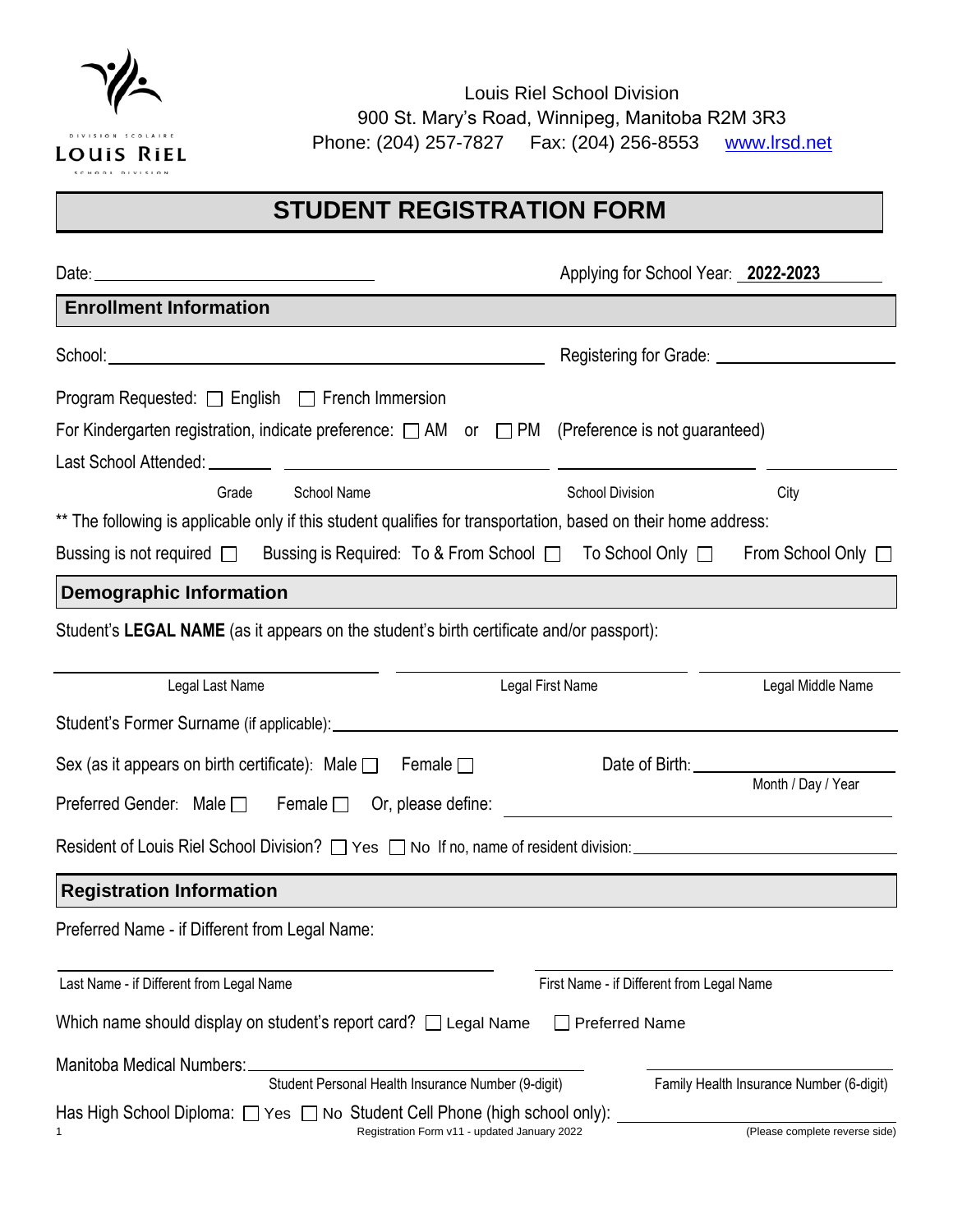

Louis Riel School Division 900 St. Mary's Road, Winnipeg, Manitoba R2M 3R3 Phone: (204) 257-7827 Fax: (204) 256-8553 [www.lrsd.net](http://www.lrsd.net/)

# **STUDENT REGISTRATION FORM**

|                                                                                                                                      | Applying for School Year: 2022-2023       |  |
|--------------------------------------------------------------------------------------------------------------------------------------|-------------------------------------------|--|
| <b>Enrollment Information</b>                                                                                                        |                                           |  |
|                                                                                                                                      |                                           |  |
| Program Requested: $\Box$ English $\Box$ French Immersion                                                                            |                                           |  |
| For Kindergarten registration, indicate preference: $\Box$ AM or $\Box$ PM (Preference is not guaranteed)                            |                                           |  |
|                                                                                                                                      |                                           |  |
| School Name<br>Grade                                                                                                                 | <b>School Division</b><br>City            |  |
| ** The following is applicable only if this student qualifies for transportation, based on their home address:                       |                                           |  |
| Bussing is not required $\Box$ Bussing is Required: To & From School $\Box$ To School Only $\Box$ From School Only $\Box$            |                                           |  |
| <b>Demographic Information</b>                                                                                                       |                                           |  |
| Student's LEGAL NAME (as it appears on the student's birth certificate and/or passport):                                             |                                           |  |
| Legal Last Name                                                                                                                      | Legal First Name<br>Legal Middle Name     |  |
|                                                                                                                                      |                                           |  |
| Sex (as it appears on birth certificate): Male $\Box$ Female $\Box$                                                                  | Date of Birth: __________________         |  |
| Preferred Gender: Male $\Box$ Female $\Box$ Or, please define:                                                                       | Month / Day / Year                        |  |
| Resident of Louis Riel School Division? $\Box$ Yes $\Box$ No If no, name of resident division: Network Courses 2011                  |                                           |  |
| <b>Registration Information</b>                                                                                                      |                                           |  |
| Preferred Name - if Different from Legal Name:                                                                                       |                                           |  |
| Last Name - if Different from Legal Name                                                                                             | First Name - if Different from Legal Name |  |
| Which name should display on student's report card? $\Box$ Legal Name                                                                | <b>Preferred Name</b>                     |  |
| Manitoba Medical Numbers:                                                                                                            |                                           |  |
| Student Personal Health Insurance Number (9-digit)                                                                                   | Family Health Insurance Number (6-digit)  |  |
| Has High School Diploma: $\Box$ Yes $\Box$ No Student Cell Phone (high school only):<br>Registration Form v11 - updated January 2022 | (Please complete reverse side)            |  |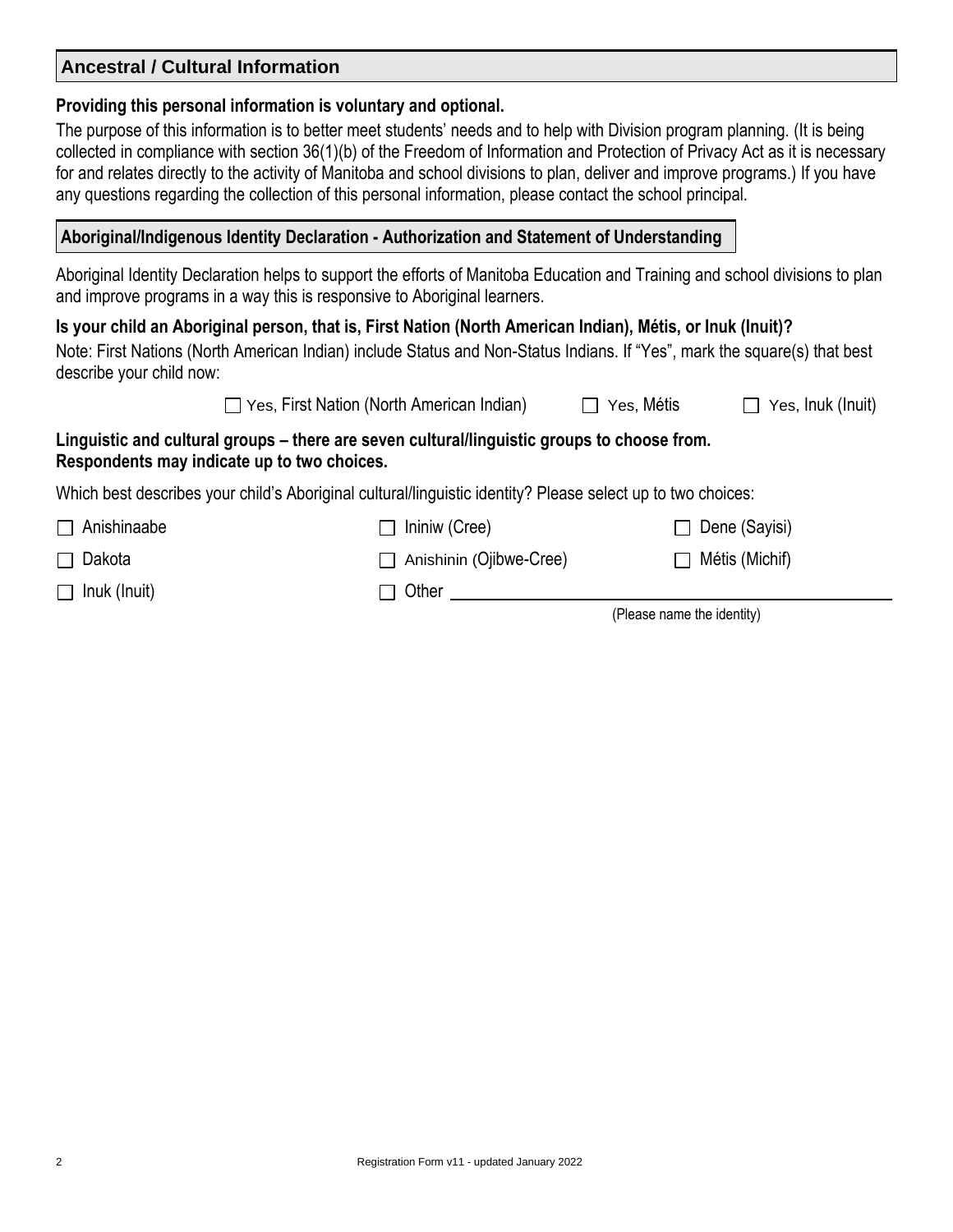# **Ancestral / Cultural Information**

#### **Providing this personal information is voluntary and optional.**

The purpose of this information is to better meet students' needs and to help with Division program planning. (It is being collected in compliance with section 36(1)(b) of the Freedom of Information and Protection of Privacy Act as it is necessary for and relates directly to the activity of Manitoba and school divisions to plan, deliver and improve programs.) If you have any questions regarding the collection of this personal information, please contact the school principal.

# **Aboriginal/Indigenous Identity Declaration - Authorization and Statement of Understanding**

Aboriginal Identity Declaration helps to support the efforts of Manitoba Education and Training and school divisions to plan and improve programs in a way this is responsive to Aboriginal learners.

## **Is your child an Aboriginal person, that is, First Nation (North American Indian), Métis, or Inuk (Inuit)?**

Note: First Nations (North American Indian) include Status and Non-Status Indians. If "Yes", mark the square(s) that best describe your child now:

| $\Box$ Yes, First Nation (North American Indian)                                 | $\Box$ Yes, Métis | $\Box$ Yes, Inuk (Inuit) |
|----------------------------------------------------------------------------------|-------------------|--------------------------|
| and cultural groups – there are seven cultural/linguistic groups to choose from. |                   |                          |

## **Respondents may indicate up to two choices.**

**Linguistic** 

Which best describes your child's Aboriginal cultural/linguistic identity? Please select up to two choices:

| $\Box$ Anishinaabe  | $\Box$ Ininiw (Cree)           | $\Box$ Dene (Sayisi)       |
|---------------------|--------------------------------|----------------------------|
| $\Box$ Dakota       | $\Box$ Anishinin (Ojibwe-Cree) | $\Box$ Métis (Michif)      |
| $\Box$ Inuk (Inuit) | $\Box$ Other                   |                            |
|                     |                                | (Please name the identity) |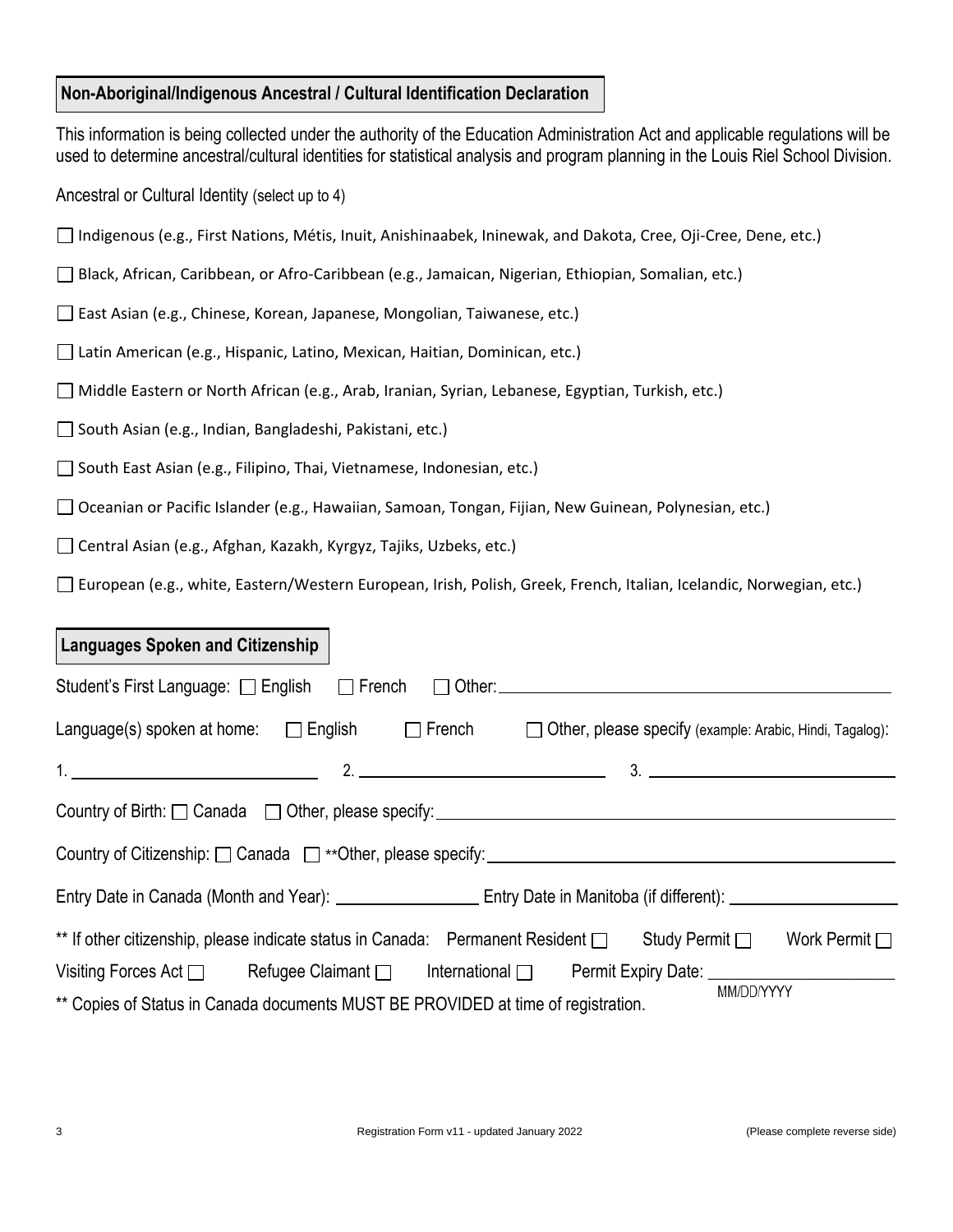#### **Non-Aboriginal/Indigenous Ancestral / Cultural Identification Declaration**

This information is being collected under the authority of the Education Administration Act and applicable regulations will be used to determine ancestral/cultural identities for statistical analysis and program planning in the Louis Riel School Division.

Ancestral or Cultural Identity (select up to 4)

- Indigenous (e.g., First Nations, Métis, Inuit, Anishinaabek, Ininewak, and Dakota, Cree, Oji-Cree, Dene, etc.)
- Black, African, Caribbean, or Afro-Caribbean (e.g., Jamaican, Nigerian, Ethiopian, Somalian, etc.)
- East Asian (e.g., Chinese, Korean, Japanese, Mongolian, Taiwanese, etc.)
- Latin American (e.g., Hispanic, Latino, Mexican, Haitian, Dominican, etc.)
- Middle Eastern or North African (e.g., Arab, Iranian, Syrian, Lebanese, Egyptian, Turkish, etc.)
- South Asian (e.g., Indian, Bangladeshi, Pakistani, etc.)
- $\Box$  South East Asian (e.g., Filipino, Thai, Vietnamese, Indonesian, etc.)
- Oceanian or Pacific Islander (e.g., Hawaiian, Samoan, Tongan, Fijian, New Guinean, Polynesian, etc.)
- Central Asian (e.g., Afghan, Kazakh, Kyrgyz, Tajiks, Uzbeks, etc.)
- European (e.g., white, Eastern/Western European, Irish, Polish, Greek, French, Italian, Icelandic, Norwegian, etc.)

#### **Languages Spoken and Citizenship**

| Language(s) spoken at home: $\Box$ English $\Box$ French<br>$\Box$ Other, please specify (example: Arabic, Hindi, Tagalog): |
|-----------------------------------------------------------------------------------------------------------------------------|
|                                                                                                                             |
|                                                                                                                             |
|                                                                                                                             |
|                                                                                                                             |
| ** If other citizenship, please indicate status in Canada: Permanent Resident $\Box$ Study Permit $\Box$ Work Permit $\Box$ |
| Visiting Forces Act D Refugee Claimant D International D Permit Expiry Date: COMERCIAL REFORMATION                          |
| MM/DD/YYYY<br>** Copies of Status in Canada documents MUST BE PROVIDED at time of registration.                             |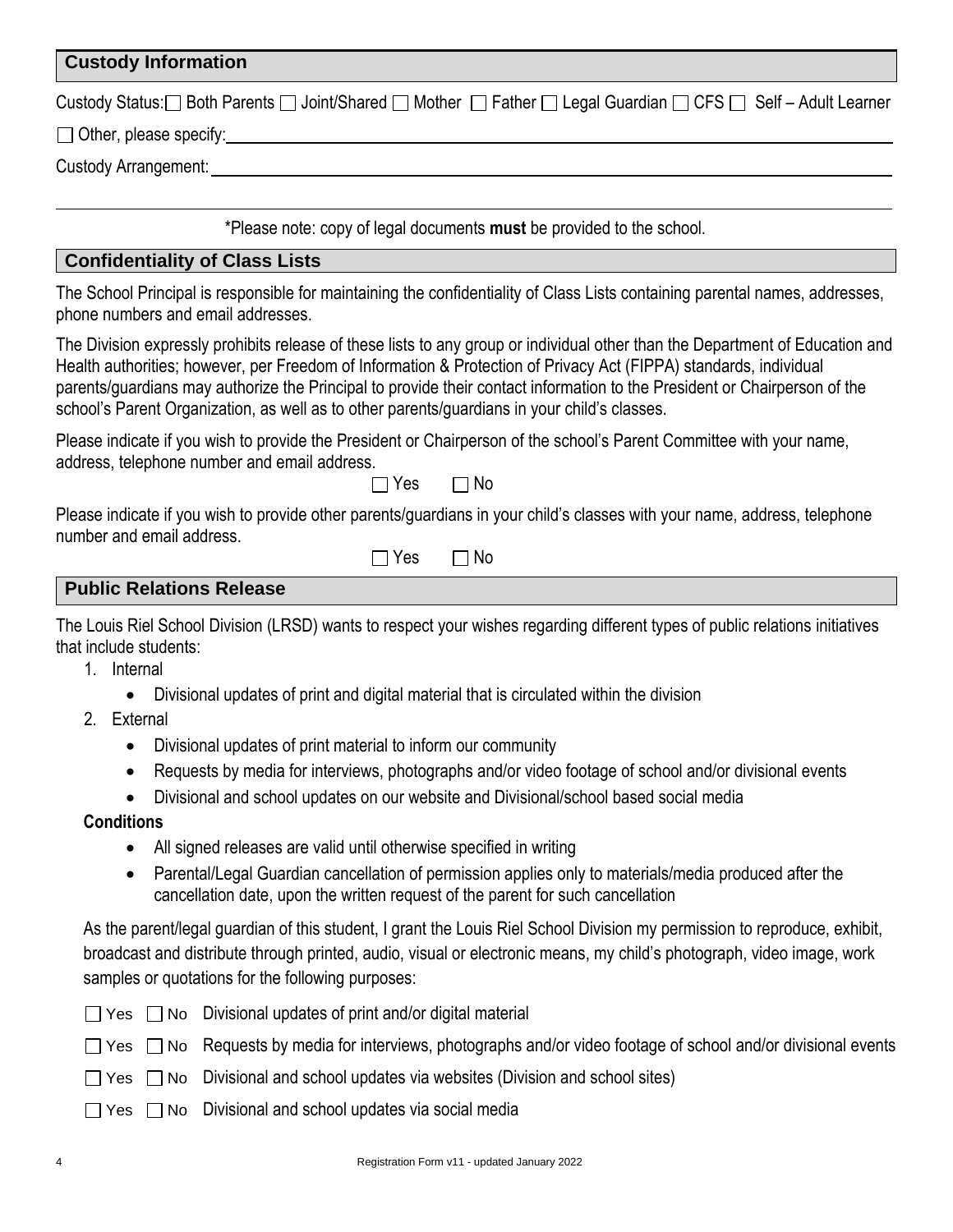#### **Custody Information**

|  | Custody Status: in Both Parents in Joint/Shared in Mother in Father in Legal Guardian in CFS in Self – Adult Learner |
|--|----------------------------------------------------------------------------------------------------------------------|
|--|----------------------------------------------------------------------------------------------------------------------|

◯ Other, please specify:  $\Box$ 

Custody Arrangement:

\*Please note: copy of legal documents **must** be provided to the school.

#### **Confidentiality of Class Lists**

The School Principal is responsible for maintaining the confidentiality of Class Lists containing parental names, addresses, phone numbers and email addresses.

The Division expressly prohibits release of these lists to any group or individual other than the Department of Education and Health authorities; however, per Freedom of Information & Protection of Privacy Act (FIPPA) standards, individual parents/guardians may authorize the Principal to provide their contact information to the President or Chairperson of the school's Parent Organization, as well as to other parents/guardians in your child's classes.

Please indicate if you wish to provide the President or Chairperson of the school's Parent Committee with your name, address, telephone number and email address.

 $\Box$  Yes  $\Box$  No

Please indicate if you wish to provide other parents/guardians in your child's classes with your name, address, telephone number and email address.

| -יי | N٥ |
|-----|----|

# **Public Relations Release**

The Louis Riel School Division (LRSD) wants to respect your wishes regarding different types of public relations initiatives that include students:

- 1. Internal
	- Divisional updates of print and digital material that is circulated within the division
- 2. External
	- Divisional updates of print material to inform our community
	- Requests by media for interviews, photographs and/or video footage of school and/or divisional events
	- Divisional and school updates on our website and Divisional/school based social media

#### **Conditions**

- All signed releases are valid until otherwise specified in writing
- Parental/Legal Guardian cancellation of permission applies only to materials/media produced after the cancellation date, upon the written request of the parent for such cancellation

As the parent/legal guardian of this student, I grant the Louis Riel School Division my permission to reproduce, exhibit, broadcast and distribute through printed, audio, visual or electronic means, my child's photograph, video image, work samples or quotations for the following purposes:

| × |
|---|
|---|

 $\Box$  No Divisional updates of print and/or digital material

 $\Box$  Yes  $\Box$  No Requests by media for interviews, photographs and/or video footage of school and/or divisional events

- $\Box$  Yes  $\Box$  No Divisional and school updates via websites (Division and school sites)
- $\Box$  Yes  $\Box$  No Divisional and school updates via social media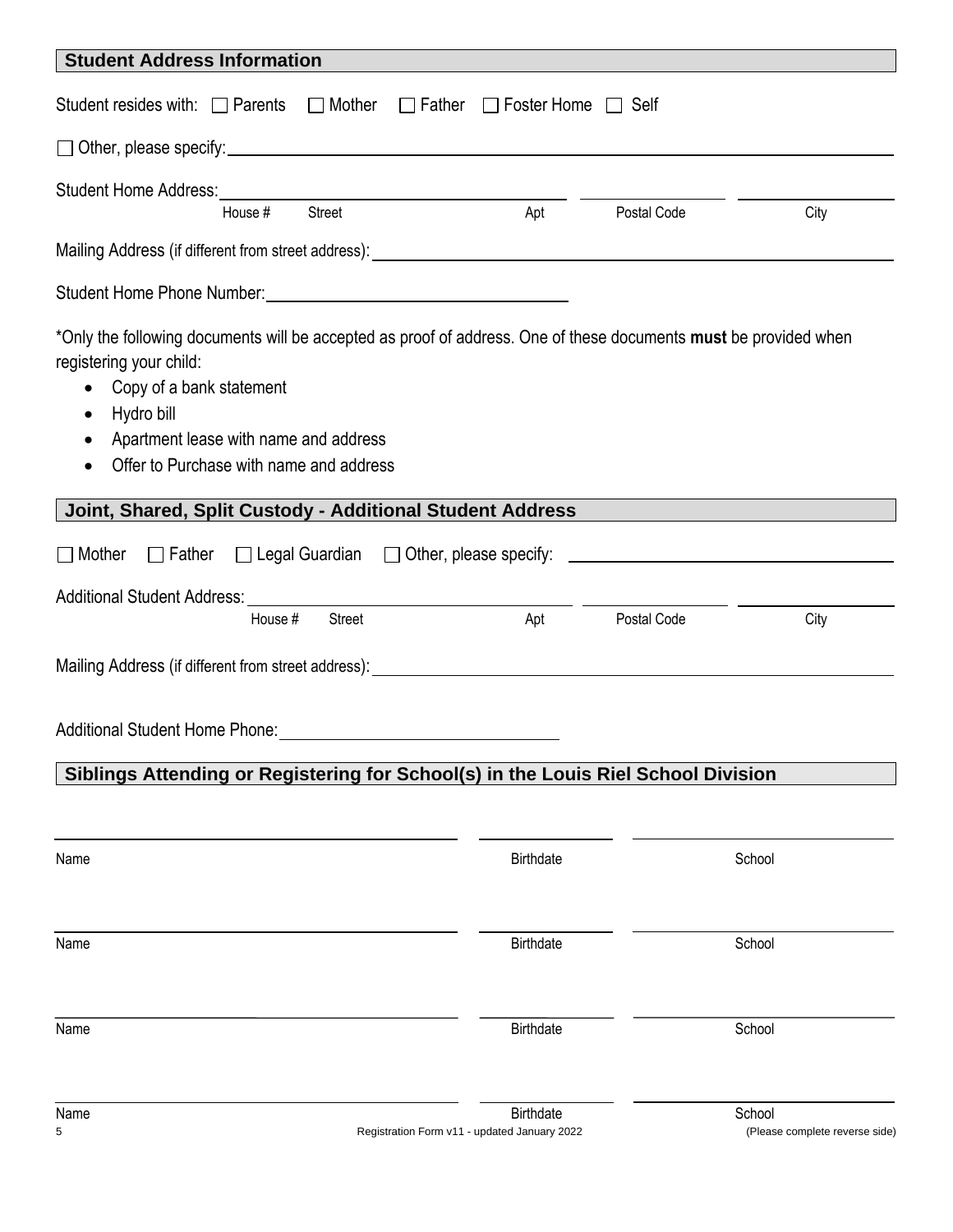| <b>Student Address Information</b>                                                                                                                                                                                                                                                                               |                                                                  |             |                                          |
|------------------------------------------------------------------------------------------------------------------------------------------------------------------------------------------------------------------------------------------------------------------------------------------------------------------|------------------------------------------------------------------|-------------|------------------------------------------|
| Student resides with: □ Parents □ Mother □ Father □ Foster Home □ Self                                                                                                                                                                                                                                           |                                                                  |             |                                          |
|                                                                                                                                                                                                                                                                                                                  |                                                                  |             |                                          |
| Street<br>House #                                                                                                                                                                                                                                                                                                | Apt                                                              | Postal Code | City                                     |
|                                                                                                                                                                                                                                                                                                                  |                                                                  |             |                                          |
|                                                                                                                                                                                                                                                                                                                  |                                                                  |             |                                          |
| *Only the following documents will be accepted as proof of address. One of these documents must be provided when<br>registering your child:<br>Copy of a bank statement<br>Hydro bill<br>$\bullet$<br>Apartment lease with name and address<br>$\bullet$<br>Offer to Purchase with name and address<br>$\bullet$ |                                                                  |             |                                          |
| Joint, Shared, Split Custody - Additional Student Address                                                                                                                                                                                                                                                        |                                                                  |             |                                          |
| $\Box$ Mother<br>□ Father □ Legal Guardian □ Other, please specify: _____________________________                                                                                                                                                                                                                |                                                                  |             |                                          |
| <b>Additional Student Address:</b>                                                                                                                                                                                                                                                                               |                                                                  |             |                                          |
| Street<br>House #                                                                                                                                                                                                                                                                                                | Apt                                                              | Postal Code | City                                     |
|                                                                                                                                                                                                                                                                                                                  |                                                                  |             |                                          |
| Additional Student Home Phone: New York Student Student Student Student Student Student Student Student Student                                                                                                                                                                                                  |                                                                  |             |                                          |
| Siblings Attending or Registering for School(s) in the Louis Riel School Division                                                                                                                                                                                                                                |                                                                  |             |                                          |
|                                                                                                                                                                                                                                                                                                                  |                                                                  |             |                                          |
| Name                                                                                                                                                                                                                                                                                                             | <b>Birthdate</b>                                                 |             | School                                   |
| Name                                                                                                                                                                                                                                                                                                             | <b>Birthdate</b>                                                 |             | School                                   |
| Name                                                                                                                                                                                                                                                                                                             | <b>Birthdate</b>                                                 |             | School                                   |
| Name<br>5                                                                                                                                                                                                                                                                                                        | <b>Birthdate</b><br>Registration Form v11 - updated January 2022 |             | School<br>(Please complete reverse side) |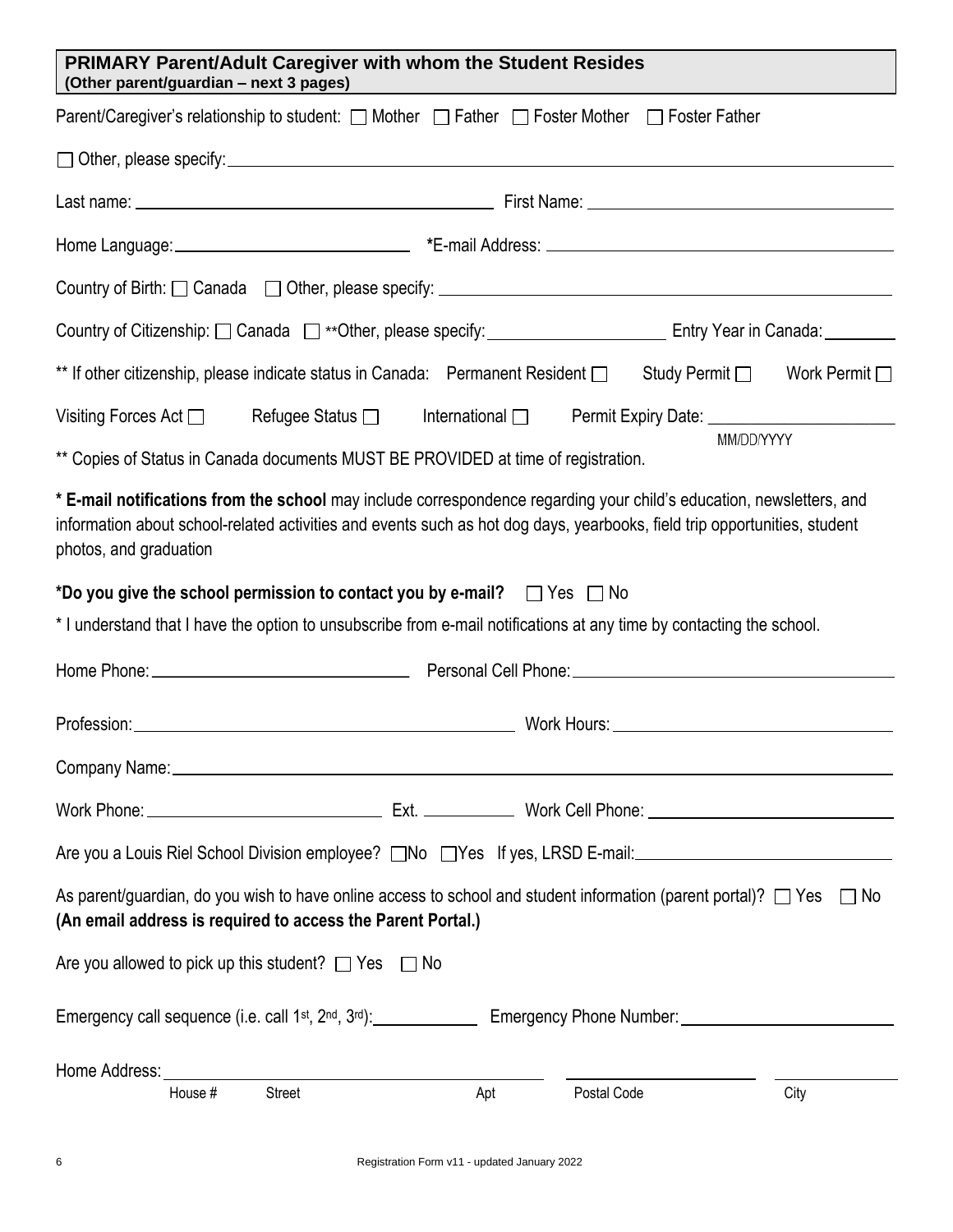| <b>PRIMARY Parent/Adult Caregiver with whom the Student Resides</b><br>(Other parent/guardian - next 3 pages)                                                                                                                                                               |
|-----------------------------------------------------------------------------------------------------------------------------------------------------------------------------------------------------------------------------------------------------------------------------|
| Parent/Caregiver's relationship to student: □ Mother □ Father □ Foster Mother □ Foster Father                                                                                                                                                                               |
| $\Box$ Other, please specify: $\Box$                                                                                                                                                                                                                                        |
|                                                                                                                                                                                                                                                                             |
|                                                                                                                                                                                                                                                                             |
|                                                                                                                                                                                                                                                                             |
|                                                                                                                                                                                                                                                                             |
| ** If other citizenship, please indicate status in Canada: Permanent Resident and Study Permit and Work Permit and T                                                                                                                                                        |
| Visiting Forces Act $\Box$ Refugee Status $\Box$ International $\Box$ Permit Expiry Date: ______________________                                                                                                                                                            |
| MM/DD/YYYY<br>** Copies of Status in Canada documents MUST BE PROVIDED at time of registration.                                                                                                                                                                             |
| * E-mail notifications from the school may include correspondence regarding your child's education, newsletters, and<br>information about school-related activities and events such as hot dog days, yearbooks, field trip opportunities, student<br>photos, and graduation |
| *Do you give the school permission to contact you by e-mail? $\Box$ Yes $\Box$ No<br>* I understand that I have the option to unsubscribe from e-mail notifications at any time by contacting the school.                                                                   |
|                                                                                                                                                                                                                                                                             |
|                                                                                                                                                                                                                                                                             |
| Company Name: 1980 Company Name: 2008 Company Name: 2008 Company Name: 2008 Company Name: 2008 Company Name: 2008 Company Name: 2008 Company Name: 2008 Company Name: 2008 Company Name: 2008 Company Name: 2008 Company Name:                                              |
|                                                                                                                                                                                                                                                                             |
| Are you a Louis Riel School Division employee? and a DYes If yes, LRSD E-mail: and a Louis Riel School Division employee? and DYes If yes, LRSD E-mail:                                                                                                                     |
| As parent/guardian, do you wish to have online access to school and student information (parent portal)? $\Box$ Yes<br>$\Box$ No<br>(An email address is required to access the Parent Portal.)                                                                             |
| Are you allowed to pick up this student? $\Box$ Yes $\Box$ No                                                                                                                                                                                                               |
|                                                                                                                                                                                                                                                                             |
| Home Address:<br>House #<br>Street<br>Apt<br>Postal Code<br>City                                                                                                                                                                                                            |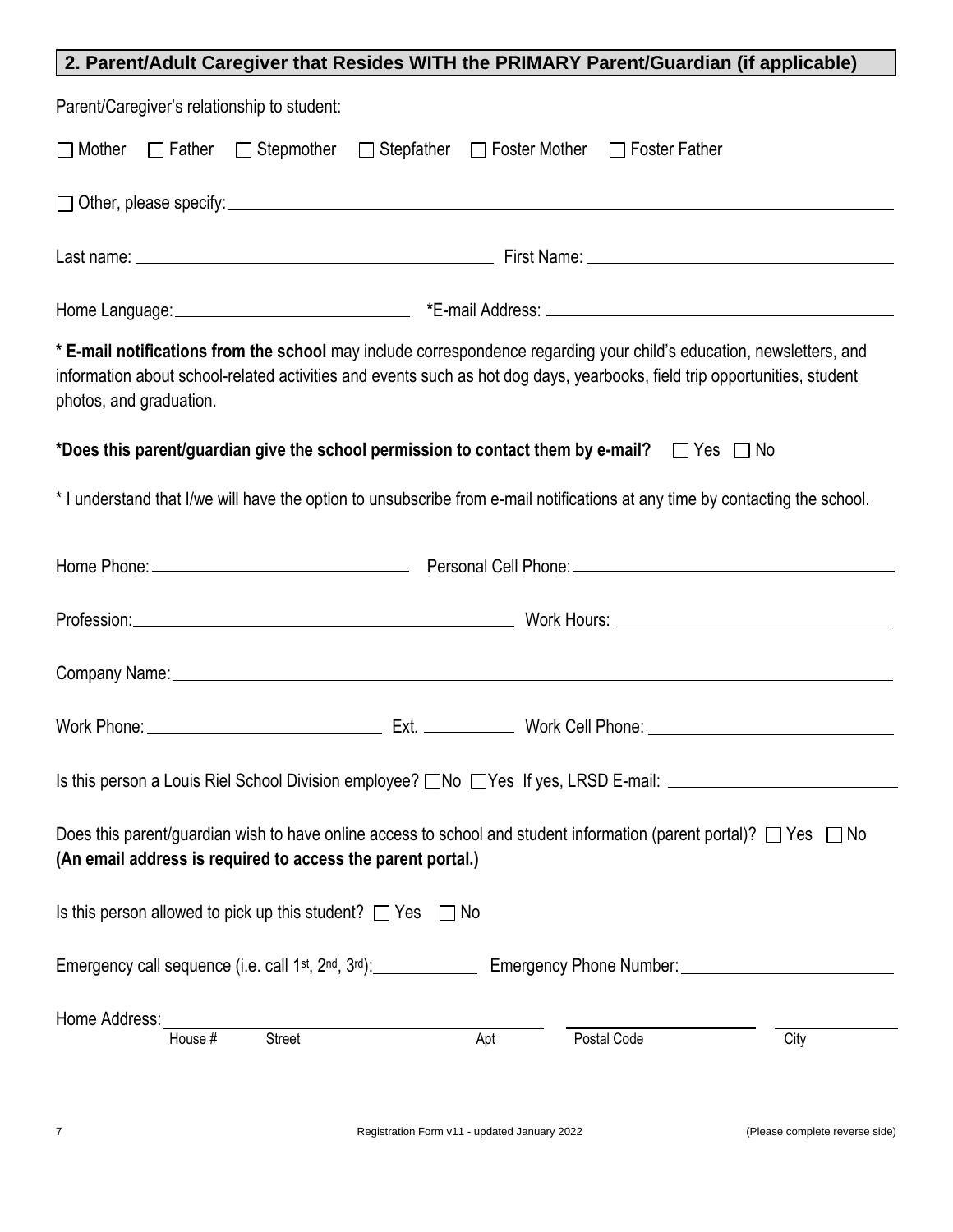| 2. Parent/Adult Caregiver that Resides WITH the PRIMARY Parent/Guardian (if applicable)                                                                                                                                                                                      |
|------------------------------------------------------------------------------------------------------------------------------------------------------------------------------------------------------------------------------------------------------------------------------|
| Parent/Caregiver's relationship to student:                                                                                                                                                                                                                                  |
| □ Stepmother □ Stepfather □ Foster Mother □ Foster Father<br>$\Box$ Mother<br>$\Box$ Father                                                                                                                                                                                  |
| $\Box$ Other, please specify: $\Box$                                                                                                                                                                                                                                         |
|                                                                                                                                                                                                                                                                              |
|                                                                                                                                                                                                                                                                              |
| * E-mail notifications from the school may include correspondence regarding your child's education, newsletters, and<br>information about school-related activities and events such as hot dog days, yearbooks, field trip opportunities, student<br>photos, and graduation. |
| *Does this parent/guardian give the school permission to contact them by e-mail? $\Box$ Yes $\Box$ No                                                                                                                                                                        |
| * I understand that I/we will have the option to unsubscribe from e-mail notifications at any time by contacting the school.                                                                                                                                                 |
|                                                                                                                                                                                                                                                                              |
|                                                                                                                                                                                                                                                                              |
|                                                                                                                                                                                                                                                                              |
|                                                                                                                                                                                                                                                                              |
|                                                                                                                                                                                                                                                                              |
| Does this parent/guardian wish to have online access to school and student information (parent portal)? $\Box$ Yes $\Box$ No<br>(An email address is required to access the parent portal.)                                                                                  |
| Is this person allowed to pick up this student? $\Box$ Yes $\Box$ No                                                                                                                                                                                                         |
|                                                                                                                                                                                                                                                                              |
| Home Address:                                                                                                                                                                                                                                                                |
| House #<br><b>Street</b><br>Apt<br>Postal Code<br>City                                                                                                                                                                                                                       |
|                                                                                                                                                                                                                                                                              |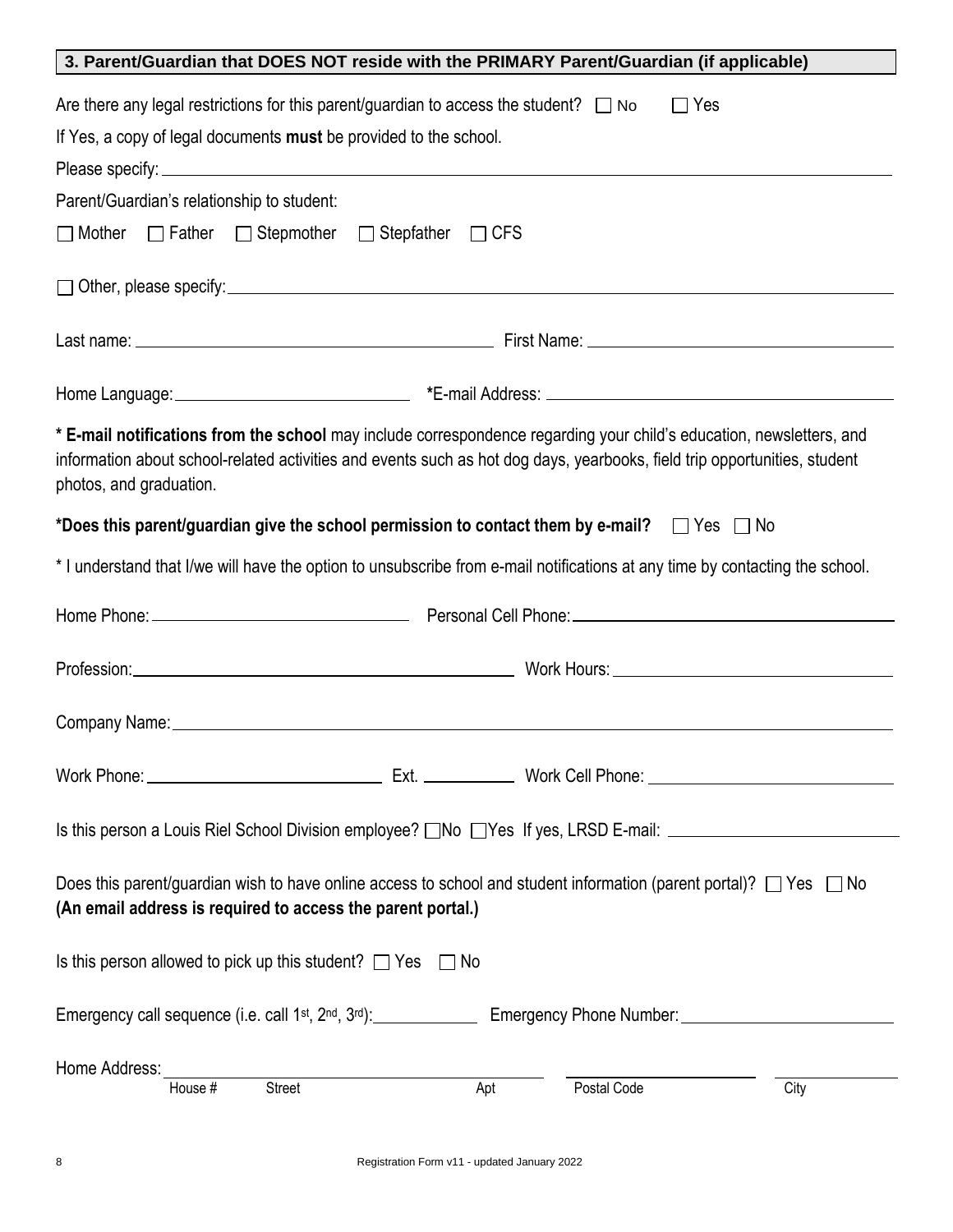| 3. Parent/Guardian that DOES NOT reside with the PRIMARY Parent/Guardian (if applicable)                                                                                                                                                                                     |     |             |      |
|------------------------------------------------------------------------------------------------------------------------------------------------------------------------------------------------------------------------------------------------------------------------------|-----|-------------|------|
| Are there any legal restrictions for this parent/guardian to access the student? $\Box$ No<br>If Yes, a copy of legal documents must be provided to the school.                                                                                                              |     | $\Box$ Yes  |      |
|                                                                                                                                                                                                                                                                              |     |             |      |
| Parent/Guardian's relationship to student:                                                                                                                                                                                                                                   |     |             |      |
| $\Box$ Father $\Box$ Stepmother $\Box$ Stepfather $\Box$ CFS<br>$\Box$ Mother                                                                                                                                                                                                |     |             |      |
|                                                                                                                                                                                                                                                                              |     |             |      |
|                                                                                                                                                                                                                                                                              |     |             |      |
|                                                                                                                                                                                                                                                                              |     |             |      |
| * E-mail notifications from the school may include correspondence regarding your child's education, newsletters, and<br>information about school-related activities and events such as hot dog days, yearbooks, field trip opportunities, student<br>photos, and graduation. |     |             |      |
| *Does this parent/guardian give the school permission to contact them by e-mail? $\Box$ Yes $\Box$ No                                                                                                                                                                        |     |             |      |
| * I understand that I/we will have the option to unsubscribe from e-mail notifications at any time by contacting the school.                                                                                                                                                 |     |             |      |
|                                                                                                                                                                                                                                                                              |     |             |      |
| Profession: North Maria Communication and Maria Communication and Maria Communication and Maria Communication                                                                                                                                                                |     |             |      |
|                                                                                                                                                                                                                                                                              |     |             |      |
|                                                                                                                                                                                                                                                                              |     |             |      |
| Is this person a Louis Riel School Division employee? $\Box$ No $\Box$ Yes If yes, LRSD E-mail: $\Box$                                                                                                                                                                       |     |             |      |
| Does this parent/guardian wish to have online access to school and student information (parent portal)? $\Box$ Yes $\Box$ No<br>(An email address is required to access the parent portal.)                                                                                  |     |             |      |
| Is this person allowed to pick up this student? $\Box$ Yes $\Box$ No                                                                                                                                                                                                         |     |             |      |
|                                                                                                                                                                                                                                                                              |     |             |      |
| Home Address:<br>House #<br>Street                                                                                                                                                                                                                                           | Apt | Postal Code | City |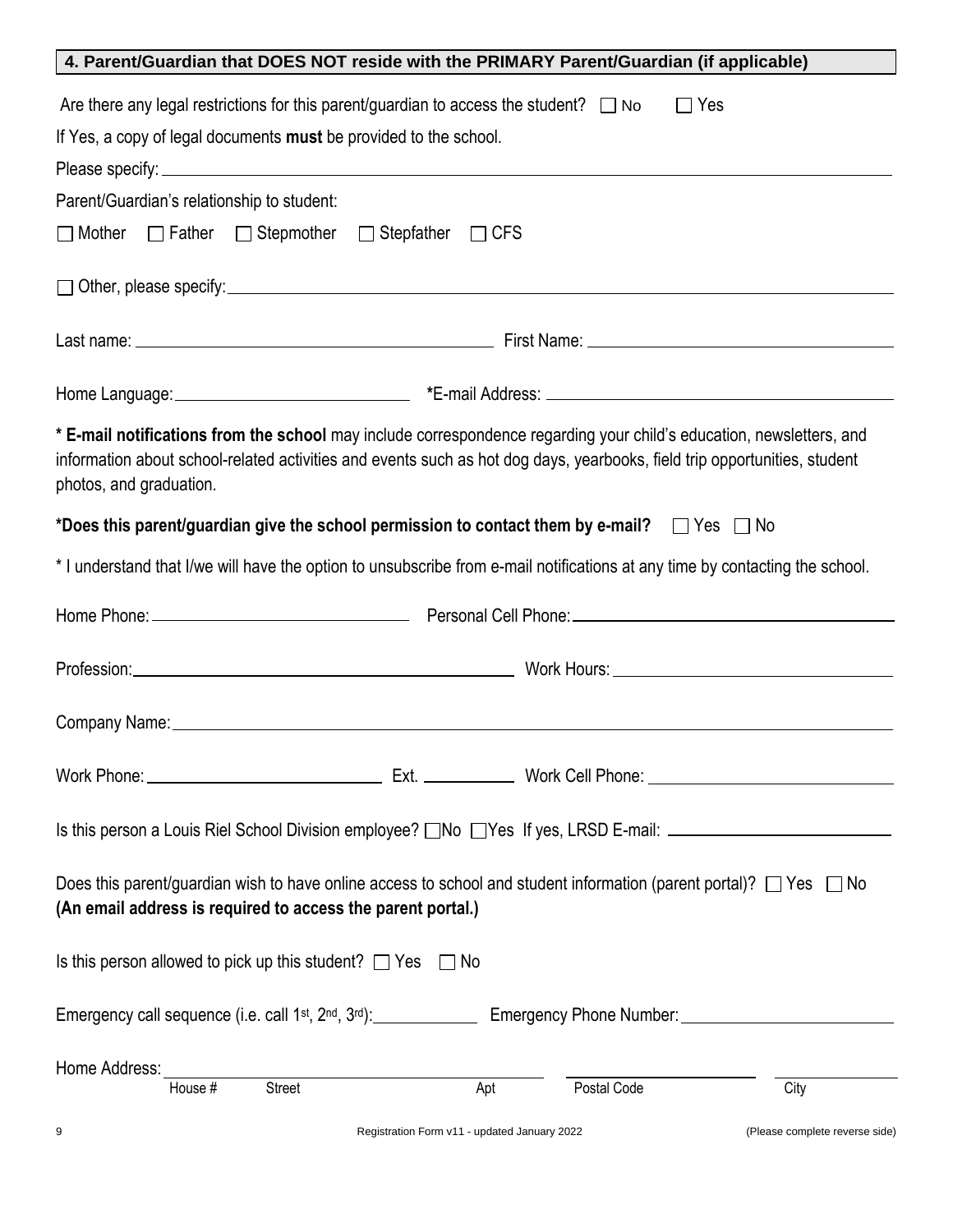| 4. Parent/Guardian that DOES NOT reside with the PRIMARY Parent/Guardian (if applicable)                                                                                                                                                                                     |  |  |
|------------------------------------------------------------------------------------------------------------------------------------------------------------------------------------------------------------------------------------------------------------------------------|--|--|
| Are there any legal restrictions for this parent/guardian to access the student? $\Box$ No<br>$\Box$ Yes                                                                                                                                                                     |  |  |
| If Yes, a copy of legal documents must be provided to the school.                                                                                                                                                                                                            |  |  |
|                                                                                                                                                                                                                                                                              |  |  |
| Parent/Guardian's relationship to student:                                                                                                                                                                                                                                   |  |  |
| □ Father □ Stepmother □ Stepfather □ CFS<br>$\Box$ Mother                                                                                                                                                                                                                    |  |  |
|                                                                                                                                                                                                                                                                              |  |  |
|                                                                                                                                                                                                                                                                              |  |  |
|                                                                                                                                                                                                                                                                              |  |  |
| * E-mail notifications from the school may include correspondence regarding your child's education, newsletters, and<br>information about school-related activities and events such as hot dog days, yearbooks, field trip opportunities, student<br>photos, and graduation. |  |  |
| *Does this parent/guardian give the school permission to contact them by e-mail? $\Box$ Yes $\Box$ No                                                                                                                                                                        |  |  |
| * I understand that I/we will have the option to unsubscribe from e-mail notifications at any time by contacting the school.                                                                                                                                                 |  |  |
|                                                                                                                                                                                                                                                                              |  |  |
|                                                                                                                                                                                                                                                                              |  |  |
|                                                                                                                                                                                                                                                                              |  |  |
|                                                                                                                                                                                                                                                                              |  |  |
| Is this person a Louis Riel School Division employee? $\Box$ No $\Box$ Yes If yes, LRSD E-mail: $\Box$                                                                                                                                                                       |  |  |
| Does this parent/guardian wish to have online access to school and student information (parent portal)? $\Box$ Yes $\Box$ No<br>(An email address is required to access the parent portal.)                                                                                  |  |  |
| Is this person allowed to pick up this student? $\Box$ Yes $\Box$ No                                                                                                                                                                                                         |  |  |
|                                                                                                                                                                                                                                                                              |  |  |
| Home Address:                                                                                                                                                                                                                                                                |  |  |
| House #<br><b>Street</b><br>Postal Code<br>City<br>Apt                                                                                                                                                                                                                       |  |  |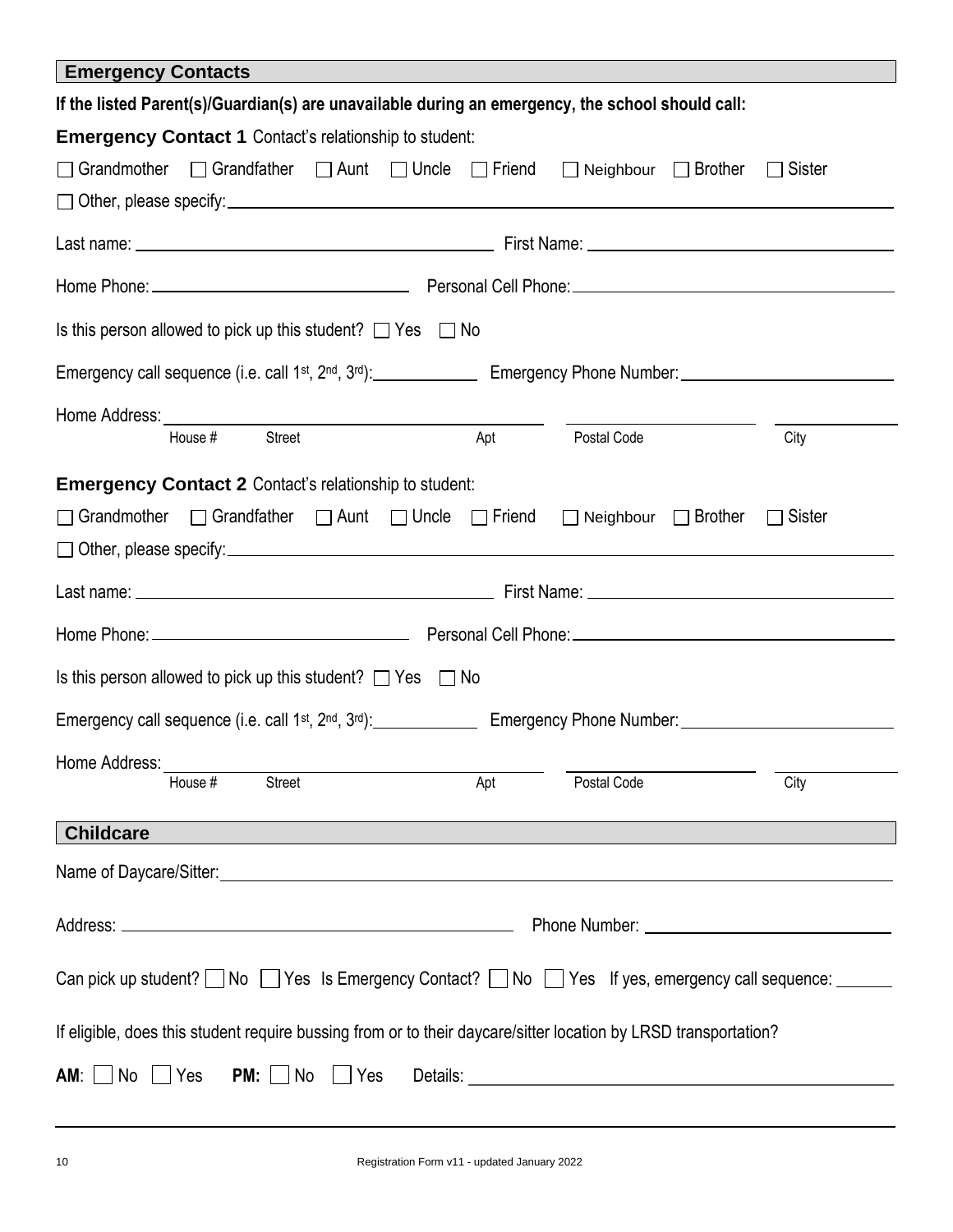| <b>Emergency Contacts</b>                                                                                                                                                                                                                                                                                    |     |                                    |               |  |  |
|--------------------------------------------------------------------------------------------------------------------------------------------------------------------------------------------------------------------------------------------------------------------------------------------------------------|-----|------------------------------------|---------------|--|--|
| If the listed Parent(s)/Guardian(s) are unavailable during an emergency, the school should call:                                                                                                                                                                                                             |     |                                    |               |  |  |
| <b>Emergency Contact 1 Contact's relationship to student:</b>                                                                                                                                                                                                                                                |     |                                    |               |  |  |
| $\Box$ Grandfather $\Box$ Aunt $\Box$ Uncle $\Box$ Friend<br>$\Box$ Grandmother                                                                                                                                                                                                                              |     | $\Box$ Brother<br>$\Box$ Neighbour | $\Box$ Sister |  |  |
|                                                                                                                                                                                                                                                                                                              |     |                                    |               |  |  |
|                                                                                                                                                                                                                                                                                                              |     |                                    |               |  |  |
|                                                                                                                                                                                                                                                                                                              |     |                                    |               |  |  |
| Is this person allowed to pick up this student? $\Box$ Yes $\Box$ No                                                                                                                                                                                                                                         |     |                                    |               |  |  |
|                                                                                                                                                                                                                                                                                                              |     |                                    |               |  |  |
| Home Address: North Management of the Second Street and Street and Street and Street and Street and Street and Street and Street and Street and Street and Street and Street and Street and Street and Street and Street and S<br>the control of the control of the control of the control of the control of |     |                                    |               |  |  |
| House #<br>Street                                                                                                                                                                                                                                                                                            | Apt | Postal Code                        | City          |  |  |
| <b>Emergency Contact 2 Contact's relationship to student:</b>                                                                                                                                                                                                                                                |     |                                    |               |  |  |
| □ Grandmother □ Grandfather □ Aunt □ Uncle □ Friend □ Neighbour □ Brother                                                                                                                                                                                                                                    |     |                                    | Sister        |  |  |
|                                                                                                                                                                                                                                                                                                              |     |                                    |               |  |  |
|                                                                                                                                                                                                                                                                                                              |     |                                    |               |  |  |
|                                                                                                                                                                                                                                                                                                              |     |                                    |               |  |  |
| Is this person allowed to pick up this student? $\Box$ Yes $\Box$ No                                                                                                                                                                                                                                         |     |                                    |               |  |  |
|                                                                                                                                                                                                                                                                                                              |     |                                    |               |  |  |
| Home Address:                                                                                                                                                                                                                                                                                                |     |                                    |               |  |  |
| House #<br><b>Street</b>                                                                                                                                                                                                                                                                                     | Apt | Postal Code                        | City          |  |  |
| <b>Childcare</b>                                                                                                                                                                                                                                                                                             |     |                                    |               |  |  |
| Name of Daycare/Sitter: Name of Daycare/Sitter:                                                                                                                                                                                                                                                              |     |                                    |               |  |  |
|                                                                                                                                                                                                                                                                                                              |     |                                    |               |  |  |
| Can pick up student? No Yes Is Emergency Contact? No Yes If yes, emergency call sequence: ______                                                                                                                                                                                                             |     |                                    |               |  |  |
| If eligible, does this student require bussing from or to their daycare/sitter location by LRSD transportation?                                                                                                                                                                                              |     |                                    |               |  |  |
| $PM: \Box$ No<br>$AM: \vert \vert No$<br>Yes<br>Yes                                                                                                                                                                                                                                                          |     |                                    |               |  |  |